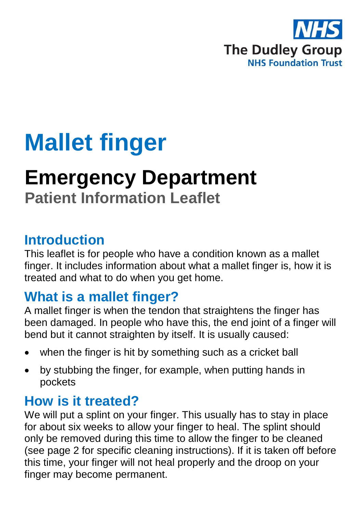

# **Mallet finger**

# **Emergency Department Patient Information Leaflet**

### **Introduction**

This leaflet is for people who have a condition known as a mallet finger. It includes information about what a mallet finger is, how it is treated and what to do when you get home.

## **What is a mallet finger?**

A mallet finger is when the tendon that straightens the finger has been damaged. In people who have this, the end joint of a finger will bend but it cannot straighten by itself. It is usually caused:

- when the finger is hit by something such as a cricket ball
- by stubbing the finger, for example, when putting hands in pockets

## **How is it treated?**

We will put a splint on your finger. This usually has to stay in place for about six weeks to allow your finger to heal. The splint should only be removed during this time to allow the finger to be cleaned (see page 2 for specific cleaning instructions). If it is taken off before this time, your finger will not heal properly and the droop on your finger may become permanent.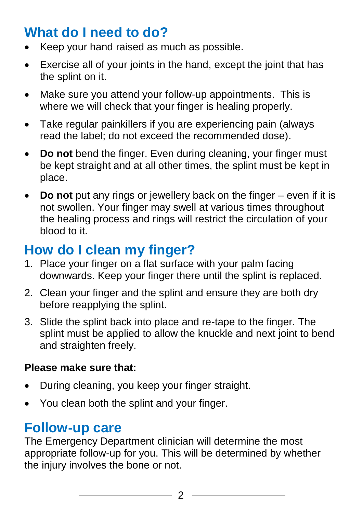## **What do I need to do?**

- Keep your hand raised as much as possible.
- Exercise all of your joints in the hand, except the joint that has the splint on it.
- Make sure you attend your follow-up appointments. This is where we will check that your finger is healing properly.
- Take regular painkillers if you are experiencing pain (always read the label; do not exceed the recommended dose).
- **Do not** bend the finger. Even during cleaning, your finger must be kept straight and at all other times, the splint must be kept in place.
- **Do not** put any rings or jewellery back on the finger even if it is not swollen. Your finger may swell at various times throughout the healing process and rings will restrict the circulation of your blood to it.

## **How do I clean my finger?**

- 1. Place your finger on a flat surface with your palm facing downwards. Keep your finger there until the splint is replaced.
- 2. Clean your finger and the splint and ensure they are both dry before reapplying the splint.
- 3. Slide the splint back into place and re-tape to the finger. The splint must be applied to allow the knuckle and next joint to bend and straighten freely.

#### **Please make sure that:**

- During cleaning, you keep your finger straight.
- You clean both the splint and your finger.

## **Follow-up care**

The Emergency Department clinician will determine the most appropriate follow-up for you. This will be determined by whether the injury involves the bone or not.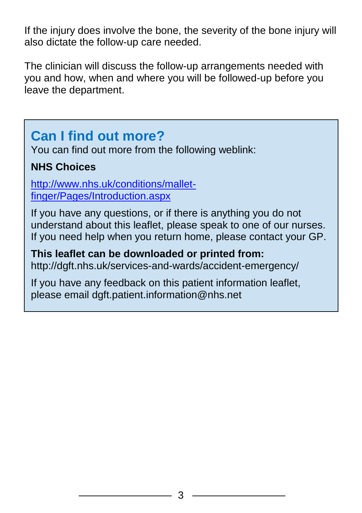If the injury does involve the bone, the severity of the bone injury will also dictate the follow-up care needed.

The clinician will discuss the follow-up arrangements needed with you and how, when and where you will be followed-up before you leave the department.

## **Can I find out more?**

You can find out more from the following weblink:

#### **NHS Choices**

[http://www.nhs.uk/conditions/mallet](http://www.nhs.uk/conditions/mallet-finger/Pages/Introduction.aspx)[finger/Pages/Introduction.aspx](http://www.nhs.uk/conditions/mallet-finger/Pages/Introduction.aspx)

If you have any questions, or if there is anything you do not understand about this leaflet, please speak to one of our nurses. If you need help when you return home, please contact your GP.

**This leaflet can be downloaded or printed from:** http://dgft.nhs.uk/services-and-wards/accident-emergency/

If you have any feedback on this patient information leaflet, please email dgft.patient.information@nhs.net